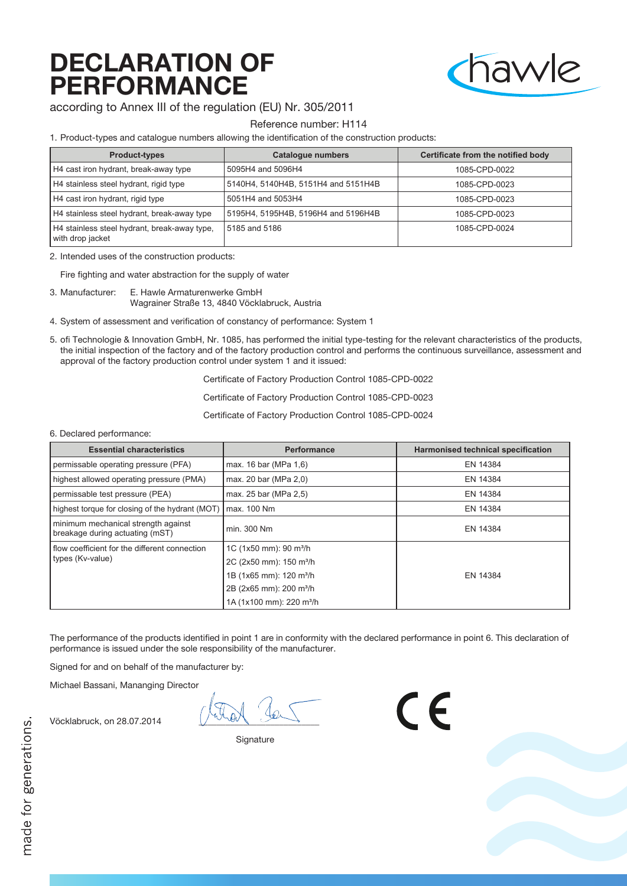# DECLARATION OF PERFORMANCE



according to Annex III of the regulation (EU) Nr. 305/2011

### Reference number: H114

1. Product-types and catalogue numbers allowing the identification of the construction products:

| <b>Product-types</b>                                             | <b>Catalogue numbers</b>            | <b>Certificate from the notified body</b> |
|------------------------------------------------------------------|-------------------------------------|-------------------------------------------|
| H4 cast iron hydrant, break-away type                            | 5095H4 and 5096H4                   | 1085-CPD-0022                             |
| H4 stainless steel hydrant, rigid type                           | 5140H4, 5140H4B, 5151H4 and 5151H4B | 1085-CPD-0023                             |
| H4 cast iron hydrant, rigid type                                 | 5051H4 and 5053H4                   | 1085-CPD-0023                             |
| H4 stainless steel hydrant, break-away type                      | 5195H4, 5195H4B, 5196H4 and 5196H4B | 1085-CPD-0023                             |
| H4 stainless steel hydrant, break-away type,<br>with drop jacket | 5185 and 5186                       | 1085-CPD-0024                             |

| <b>Essential characteristics</b>                                       | <b>Performance</b>                   | <b>Harmonised technical specification</b> |
|------------------------------------------------------------------------|--------------------------------------|-------------------------------------------|
| permissable operating pressure (PFA)                                   | max. 16 bar (MPa 1,6)                | EN 14384                                  |
| highest allowed operating pressure (PMA)                               | max. 20 bar (MPa 2,0)                | EN 14384                                  |
| permissable test pressure (PEA)                                        | max. 25 bar (MPa 2,5)                | EN 14384                                  |
| highest torque for closing of the hydrant (MOT)                        | max. 100 Nm                          | EN 14384                                  |
| minimum mechanical strength against<br>breakage during actuating (mST) | min. 300 Nm                          | EN 14384                                  |
| flow coefficient for the different connection                          | 1C (1x50 mm): 90 m <sup>3</sup> /h   |                                           |
| types (Kv-value)                                                       | 2C (2x50 mm): 150 m <sup>3</sup> /h  |                                           |
|                                                                        | 1B (1x65 mm): 120 m <sup>3</sup> /h  | EN 14384                                  |
|                                                                        | 2B (2x65 mm): 200 m <sup>3</sup> /h  |                                           |
|                                                                        | 1A (1x100 mm): 220 m <sup>3</sup> /h |                                           |

2. Intended uses of the construction products:

Fire fighting and water abstraction for the supply of water

- 3. Manufacturer: E. Hawle Armaturenwerke GmbH Wagrainer Straße 13, 4840 Vöcklabruck, Austria
- 4. System of assessment and verification of constancy of performance: System 1
- 5. ofi Technologie & Innovation GmbH, Nr. 1085, has performed the initial type-testing for the relevant characteristics of the products, the initial inspection of the factory and of the factory production control and performs the continuous surveillance, assessment and approval of the factory production control under system 1 and it issued:

Certificate of Factory Production Control 1085-CPD-0022

Certificate of Factory Production Control 1085-CPD-0023

Certificate of Factory Production Control 1085-CPD-0024

#### 6. Declared performance:

The performance of the products identified in point 1 are in conformity with the declared performance in point 6. This declaration of performance is issued under the sole responsibility of the manufacturer.

CE

Signed for and on behalf of the manufacturer by:

Michael Bassani, Mananging Director

Vöcklabruck, on 28.07.2014

**Signature**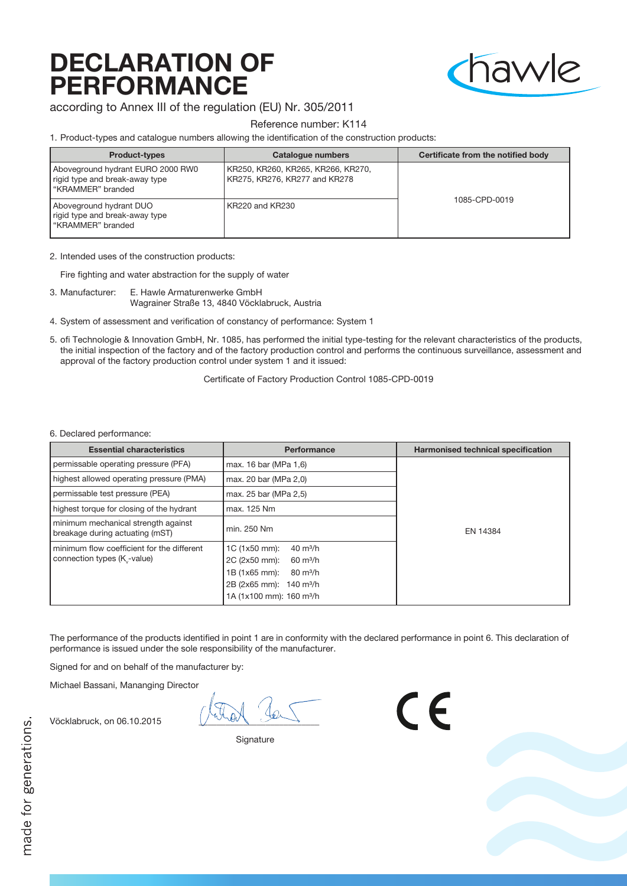# DECLARATION OF PERFORMANCE



according to Annex III of the regulation (EU) Nr. 305/2011

Reference number: K114

1. Product-types and catalogue numbers allowing the identification of the construction products:

| <b>Product-types</b>                                                                     | <b>Catalogue numbers</b>                                            | Certificate from the notified body |
|------------------------------------------------------------------------------------------|---------------------------------------------------------------------|------------------------------------|
| Aboveground hydrant EURO 2000 RW0<br>rigid type and break-away type<br>"KRAMMER" branded | KR250, KR260, KR265, KR266, KR270,<br>KR275, KR276, KR277 and KR278 |                                    |
| Aboveground hydrant DUO<br>rigid type and break-away type<br>"KRAMMER" branded           | KR220 and KR230                                                     | 1085-CPD-0019                      |

| <b>Essential characteristics</b>                                          | <b>Performance</b>                                                                                                                                                                               | <b>Harmonised technical specification</b> |
|---------------------------------------------------------------------------|--------------------------------------------------------------------------------------------------------------------------------------------------------------------------------------------------|-------------------------------------------|
| permissable operating pressure (PFA)                                      | max. 16 bar (MPa 1,6)                                                                                                                                                                            |                                           |
| highest allowed operating pressure (PMA)                                  | max. 20 bar (MPa 2,0)                                                                                                                                                                            |                                           |
| permissable test pressure (PEA)                                           | max. 25 bar (MPa 2,5)                                                                                                                                                                            |                                           |
| highest torque for closing of the hydrant                                 | max. 125 Nm                                                                                                                                                                                      | EN 14384                                  |
| minimum mechanical strength against<br>breakage during actuating (mST)    | min. 250 Nm                                                                                                                                                                                      |                                           |
| minimum flow coefficient for the different<br>connection types (K -value) | 1C (1x50 mm):<br>$40 \text{ m}^3/h$<br>2C (2x50 mm):<br>$60 \text{ m}^3/h$<br>1B (1x65 mm):<br>$80 \text{ m}^3/h$<br>2B (2x65 mm): 140 m <sup>3</sup> /h<br>1A (1x100 mm): 160 m <sup>3</sup> /h |                                           |

2. Intended uses of the construction products:

Fire fighting and water abstraction for the supply of water

- 3. Manufacturer: E. Hawle Armaturenwerke GmbH Wagrainer Straße 13, 4840 Vöcklabruck, Austria
- 4. System of assessment and verification of constancy of performance: System 1
- 5. ofi Technologie & Innovation GmbH, Nr. 1085, has performed the initial type-testing for the relevant characteristics of the products, the initial inspection of the factory and of the factory production control and performs the continuous surveillance, assessment and approval of the factory production control under system 1 and it issued:

Certificate of Factory Production Control 1085-CPD-0019

#### 6. Declared performance:

The performance of the products identified in point 1 are in conformity with the declared performance in point 6. This declaration of performance is issued under the sole responsibility of the manufacturer.

CE

Signed for and on behalf of the manufacturer by:

Michael Bassani, Mananging Director

Vöcklabruck, on 06.10.2015

**Signature**